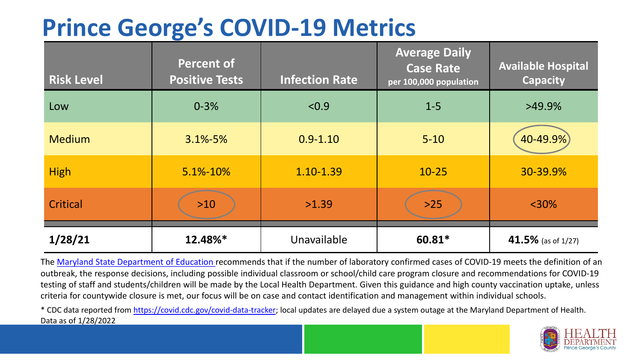## **Prince George's COVID-19 Metrics**

| <b>Risk Level</b> | <b>Percent of</b><br><b>Positive Tests</b> | <b>Infection Rate</b> | <b>Average Daily</b><br><b>Case Rate</b><br>per 100,000 population | <b>Available Hospital</b><br><b>Capacity</b> |
|-------------------|--------------------------------------------|-----------------------|--------------------------------------------------------------------|----------------------------------------------|
| Low               | $0 - 3%$                                   | < 0.9                 | $1 - 5$                                                            | $>49.9\%$                                    |
| <b>Medium</b>     | $3.1\% - 5\%$                              | $0.9 - 1.10$          | $5 - 10$                                                           | 40-49.9%                                     |
| <b>High</b>       | 5.1%-10%                                   | 1.10-1.39             | $10 - 25$                                                          | 30-39.9%                                     |
| Critical          | $>10$                                      | >1.39                 | $>25$                                                              | $<$ 30%                                      |
| 1/28/21           | 12.48%*                                    | Unavailable           | 60.81*                                                             | 41.5% (as of $1/27$ )                        |

The [Maryland State Department of Education](https://earlychildhood.marylandpublicschools.org/system/files/filedepot/3/covid_guidance_full_080420.pdf) recommends that if the number of laboratory confirmed cases of COVID-19 meets the definition of an outbreak, the response decisions, including possible individual classroom or school/child care program closure and recommendations for COVID-19 testing of staff and students/children will be made by the Local Health Department. Given this guidance and high county vaccination uptake, unless criteria for countywide closure is met, our focus will be on case and contact identification and management within individual schools.

\* CDC data reported from <https://covid.cdc.gov/covid-data-tracker>; local updates are delayed due a system outage at the Maryland Department of Health. Data as of 1/28/2022

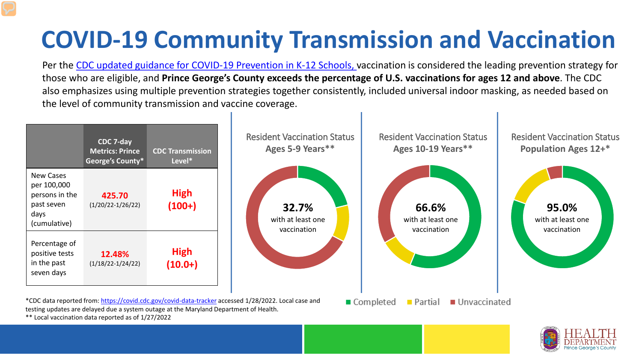## **COVID-19 Community Transmission and Vaccination**

Per the [CDC updated guidance for COVID-19 Prevention in K-12 Schools,](https://www.cdc.gov/coronavirus/2019-ncov/community/schools-childcare/k-12-guidance.html) vaccination is considered the leading prevention strategy for those who are eligible, and **Prince George's County exceeds the percentage of U.S. vaccinations for ages 12 and above**. The CDC also emphasizes using multiple prevention strategies together consistently, included universal indoor masking, as needed based on the level of community transmission and vaccine coverage.